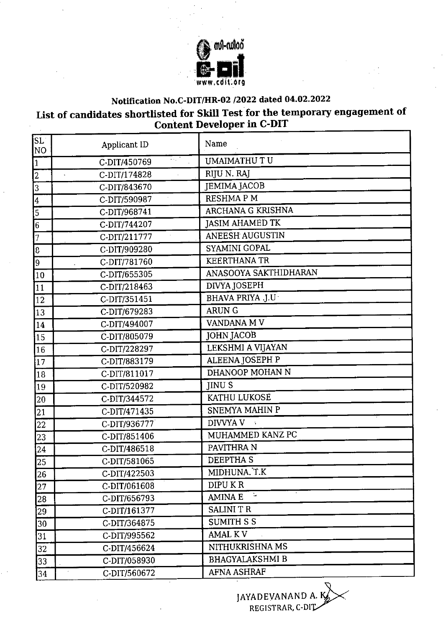

## **Notification No.C-DIT/HR-02 /2022 dated 04.02.2022**

## **List of candidates shortlisted for Skill Test for the temporary engagement of Content Developer in C-DIT**

| SL<br>NO.               | Applicant ID                          | Name                   |
|-------------------------|---------------------------------------|------------------------|
| $\overline{1}$          | kiri.<br>C-DIT/450769                 | <b>UMAIMATHU TU</b>    |
| $\overline{2}$          | C-DIT/174828<br>$\tilde{\phantom{a}}$ | RIJU N. RAJ            |
| $\vert 3 \vert$         | C-DIT/843670                          | <b>JEMIMA JACOB</b>    |
| $\overline{\mathbf{4}}$ | C-DIT/590987                          | <b>RESHMAPM</b>        |
| 5                       | C-DIT/968741                          | ARCHANA G KRISHNA      |
| $6\overline{6}$         | C-DIT/744207                          | <b>JASIM AHAMED TK</b> |
| $\overline{7}$          | C-DIT/211777                          | <b>ANEESH AUGUSTIN</b> |
| $\overline{3}$          | C-DIT/909280                          | SYAMINI GOPAL          |
| 9                       | C-DIT/781760                          | <b>KEERTHANA TR</b>    |
| 10                      | C-DIT/655305                          | ANASOOYA SAKTHIDHARAN  |
| 11                      | C-DIT/218463                          | DIVYA JOSEPH           |
| $\overline{12}$         | C-DIT/351451                          | BHAVA PRIYA .J.U       |
| 13                      | C-DIT/679283                          | <b>ARUN G</b>          |
| 14                      | C-DIT/494007                          | VANDANA M V            |
| 15                      | C-DIT/805079                          | <b>JOHN JACOB</b>      |
| 16                      | C-DIT/228297                          | LEKSHMI A VIJAYAN      |
| 17                      | C-DIT/883179                          | ALEENA JOSEPH P        |
| 18                      | C-DIT/811017                          | DHANOOP MOHAN N        |
| 19                      | C-DIT/520982                          | <b>JINUS</b>           |
| 20                      | C-DIT/344572                          | <b>KATHU LUKOSE</b>    |
| 21                      | C-DIT/471435                          | SNEMYA MAHIN P         |
| 22                      | C-DIT/936777                          | DIVVYA V               |
| 23                      | C-DIT/851406                          | MUHAMMED KANZ PC       |
| 24                      | C-DIT/486518                          | PAVITHRA N             |
| 25                      | C-DIT/581065                          | <b>DEEPTHAS</b>        |
| 26                      | C-DIT/422503                          | MIDHUNA.T.K            |
| 27                      | C-DIT/061608                          | DIPU KR                |
| 28                      | C-DIT/656793                          | u,<br><b>AMINAE</b>    |
| 29                      | C-DIT/161377                          | <b>SALINI T R</b>      |
| 30                      | C-DIT/364875                          | <b>SUMITH S S</b>      |
| 31                      | C-DIT/995562                          | <b>AMAL KV</b>         |
| 32                      | C-DIT/456624                          | NITHUKRISHNA MS        |
| 33                      | C-DIT/058930                          | <b>BHAGYALAKSHMI B</b> |
| 34                      | C-DIT/560672                          | <b>AFNA ASHRAF</b>     |

JAYADEVANAND A. K $\gg$ REGISTRAR, C-DI